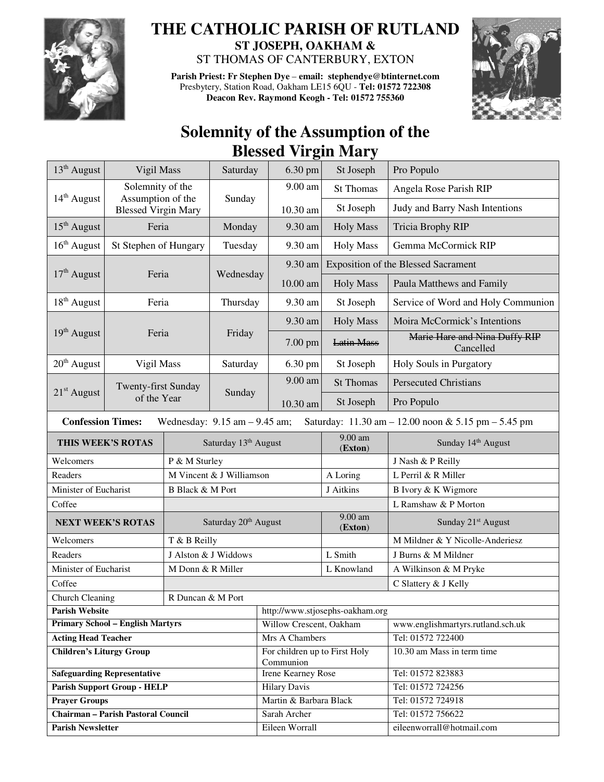

## **THE CATHOLIC PARISH OF RUTLAND ST JOSEPH, OAKHAM &**

ST THOMAS OF CANTERBURY, EXTON

**Parish Priest: Fr Stephen Dye** – **email: stephendye@btinternet.com** Presbytery, Station Road, Oakham LE15 6QU - **Tel: 01572 722308 Deacon Rev. Raymond Keogh - Tel: 01572 755360** 



## **Solemnity of the Assumption of the Blessed Virgin Mary**

| 13 <sup>th</sup> August                                                                                                                                 | Vigil Mass                                  |                                  | Saturday             | 6.30 pm                                    | St Joseph                           | Pro Populo                                 |  |  |  |
|---------------------------------------------------------------------------------------------------------------------------------------------------------|---------------------------------------------|----------------------------------|----------------------|--------------------------------------------|-------------------------------------|--------------------------------------------|--|--|--|
|                                                                                                                                                         | Solemnity of the<br>Assumption of the       |                                  | Sunday               | 9.00 am                                    | <b>St Thomas</b>                    | Angela Rose Parish RIP                     |  |  |  |
| $14th$ August<br><b>Blessed Virgin Mary</b>                                                                                                             |                                             |                                  |                      | 10.30 am                                   | St Joseph                           | Judy and Barry Nash Intentions             |  |  |  |
| $15th$ August                                                                                                                                           | Feria                                       |                                  | Monday               | 9.30 am                                    | <b>Holy Mass</b>                    | Tricia Brophy RIP                          |  |  |  |
| $16th$ August                                                                                                                                           | St Stephen of Hungary                       |                                  | Tuesday              | 9.30 am                                    | <b>Holy Mass</b>                    | Gemma McCormick RIP                        |  |  |  |
| 17 <sup>th</sup> August<br>Feria                                                                                                                        |                                             |                                  |                      | 9.30 am                                    | Exposition of the Blessed Sacrament |                                            |  |  |  |
|                                                                                                                                                         |                                             |                                  | Wednesday            | $10.00$ am                                 | <b>Holy Mass</b>                    | Paula Matthews and Family                  |  |  |  |
| $18th$ August                                                                                                                                           | Feria                                       |                                  | Thursday             | 9.30 am                                    | St Joseph                           | Service of Word and Holy Communion         |  |  |  |
|                                                                                                                                                         |                                             |                                  |                      | 9.30 am                                    | <b>Holy Mass</b>                    | Moira McCormick's Intentions               |  |  |  |
| 19 <sup>th</sup> August                                                                                                                                 | Feria                                       |                                  | Friday               | 7.00 pm                                    | <b>Latin Mass</b>                   | Marie Hare and Nina Duffy RIP<br>Cancelled |  |  |  |
| $20th$ August                                                                                                                                           | Vigil Mass                                  |                                  | Saturday             | $6.30$ pm                                  | St Joseph                           | Holy Souls in Purgatory                    |  |  |  |
|                                                                                                                                                         | Twenty-first Sunday                         |                                  | Sunday               | 9.00 am                                    | <b>St Thomas</b>                    | <b>Persecuted Christians</b>               |  |  |  |
| $21st$ August<br>of the Year                                                                                                                            |                                             |                                  |                      | 10.30 am                                   | St Joseph                           | Pro Populo                                 |  |  |  |
| <b>Confession Times:</b><br>Wednesday: $9.15$ am $- 9.45$ am;<br>Saturday: $11.30 \text{ am} - 12.00 \text{ noon} \& 5.15 \text{ pm} - 5.45 \text{ pm}$ |                                             |                                  |                      |                                            |                                     |                                            |  |  |  |
| THIS WEEK'S ROTAS                                                                                                                                       |                                             |                                  | Saturday 13th August |                                            | $9.00$ am<br>(Exton)                | Sunday 14th August                         |  |  |  |
| Welcomers                                                                                                                                               |                                             |                                  | P & M Sturley        |                                            |                                     | J Nash & P Reilly                          |  |  |  |
| Readers                                                                                                                                                 |                                             | M Vincent & J Williamson         |                      | A Loring                                   | L Perril & R Miller                 |                                            |  |  |  |
| Minister of Eucharist                                                                                                                                   |                                             | <b>B</b> Black & M Port          |                      |                                            | J Aitkins                           | B Ivory & K Wigmore                        |  |  |  |
| Coffee                                                                                                                                                  |                                             |                                  |                      |                                            |                                     | L Ramshaw & P Morton                       |  |  |  |
| <b>NEXT WEEK'S ROTAS</b>                                                                                                                                |                                             | Saturday 20 <sup>th</sup> August |                      |                                            | 9.00 am<br>(Exton)                  | Sunday 21 <sup>st</sup> August             |  |  |  |
| Welcomers                                                                                                                                               |                                             | T & B Reilly                     |                      |                                            |                                     | M Mildner & Y Nicolle-Anderiesz            |  |  |  |
| Readers                                                                                                                                                 |                                             |                                  | J Alston & J Widdows |                                            | L Smith                             | J Burns & M Mildner                        |  |  |  |
| Minister of Eucharist                                                                                                                                   |                                             | M Donn & R Miller                |                      |                                            | L Knowland                          | A Wilkinson & M Pryke                      |  |  |  |
| Coffee                                                                                                                                                  |                                             |                                  |                      |                                            |                                     | C Slattery & J Kelly                       |  |  |  |
|                                                                                                                                                         | <b>Church Cleaning</b><br>R Duncan & M Port |                                  |                      |                                            |                                     |                                            |  |  |  |
| <b>Parish Website</b>                                                                                                                                   |                                             |                                  |                      | http://www.stjosephs-oakham.org            |                                     |                                            |  |  |  |
| <b>Primary School - English Martyrs</b>                                                                                                                 |                                             |                                  |                      | Willow Crescent, Oakham                    |                                     | www.englishmartyrs.rutland.sch.uk          |  |  |  |
| <b>Acting Head Teacher</b>                                                                                                                              |                                             |                                  |                      | Mrs A Chambers                             |                                     | Tel: 01572 722400                          |  |  |  |
| <b>Children's Liturgy Group</b>                                                                                                                         |                                             |                                  |                      | For children up to First Holy<br>Communion |                                     | 10.30 am Mass in term time                 |  |  |  |
| <b>Safeguarding Representative</b>                                                                                                                      |                                             |                                  |                      | Irene Kearney Rose                         |                                     | Tel: 01572 823883                          |  |  |  |
| <b>Parish Support Group - HELP</b>                                                                                                                      |                                             |                                  |                      | <b>Hilary Davis</b>                        |                                     | Tel: 01572 724256                          |  |  |  |
| <b>Prayer Groups</b>                                                                                                                                    |                                             |                                  |                      | Martin & Barbara Black                     |                                     | Tel: 01572 724918                          |  |  |  |
| <b>Chairman - Parish Pastoral Council</b>                                                                                                               |                                             |                                  |                      | Sarah Archer                               |                                     | Tel: 01572 756622                          |  |  |  |
| <b>Parish Newsletter</b>                                                                                                                                |                                             |                                  |                      | Eileen Worrall                             |                                     | eileenworrall@hotmail.com                  |  |  |  |